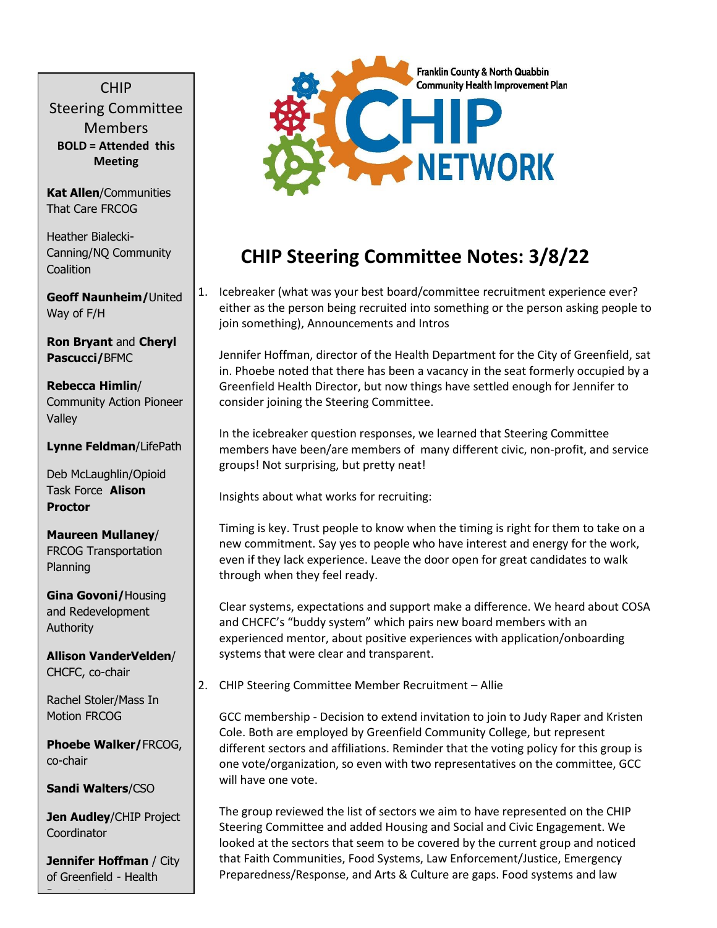CHIP Steering Committee Members **BOLD = Attended this Meeting**

**Kat Allen**/Communities That Care FRCOG

Heather Bialecki-Canning/NQ Community Coalition

**Geoff Naunheim/**United Way of F/H

**Ron Bryant** and **Cheryl Pascucci/**BFMC

**Rebecca Himlin**/ Community Action Pioneer Valley

**Lynne Feldman**/LifePath

Deb McLaughlin/Opioid Task Force **Alison Proctor**

**Maureen Mullaney**/ FRCOG Transportation Planning

**Gina Govoni/**Housing and Redevelopment Authority

**Allison VanderVelden**/ CHCFC, co-chair

Rachel Stoler/Mass In Motion FRCOG

**Phoebe Walker/**FRCOG, co-chair

**Sandi Walters**/CSO

**Jen Audley/CHIP Project Coordinator** 

**Jennifer Hoffman** / City of Greenfield - Health

Department



## **CHIP Steering Committee Notes: 3/8/22**

1. Icebreaker (what was your best board/committee recruitment experience ever? either as the person being recruited into something or the person asking people to join something), Announcements and Intros

Jennifer Hoffman, director of the Health Department for the City of Greenfield, sat in. Phoebe noted that there has been a vacancy in the seat formerly occupied by a Greenfield Health Director, but now things have settled enough for Jennifer to consider joining the Steering Committee.

In the icebreaker question responses, we learned that Steering Committee members have been/are members of many different civic, non-profit, and service groups! Not surprising, but pretty neat!

Insights about what works for recruiting:

Timing is key. Trust people to know when the timing is right for them to take on a new commitment. Say yes to people who have interest and energy for the work, even if they lack experience. Leave the door open for great candidates to walk through when they feel ready.

Clear systems, expectations and support make a difference. We heard about COSA and CHCFC's "buddy system" which pairs new board members with an experienced mentor, about positive experiences with application/onboarding systems that were clear and transparent.

2. CHIP Steering Committee Member Recruitment – Allie

GCC membership - Decision to extend invitation to join to Judy Raper and Kristen Cole. Both are employed by Greenfield Community College, but represent different sectors and affiliations. Reminder that the voting policy for this group is one vote/organization, so even with two representatives on the committee, GCC will have one vote.

The group reviewed the list of sectors we aim to have represented on the CHIP Steering Committee and added Housing and Social and Civic Engagement. We looked at the sectors that seem to be covered by the current group and noticed that Faith Communities, Food Systems, Law Enforcement/Justice, Emergency Preparedness/Response, and Arts & Culture are gaps. Food systems and law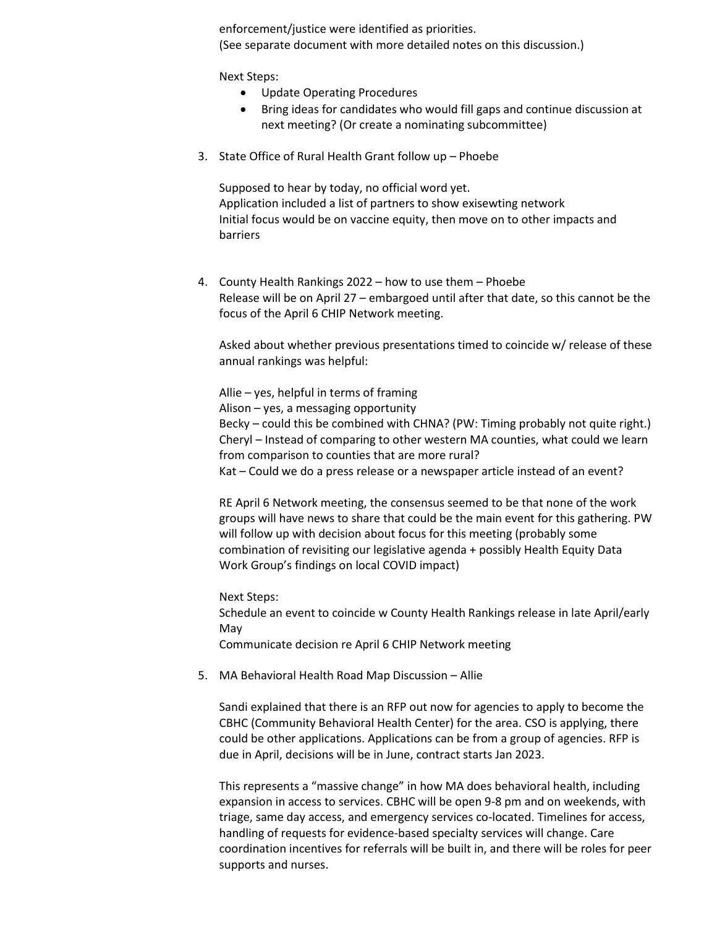enforcement/justice were identified as priorities. (See separate document with more detailed notes on this discussion.)

Next Steps:

- Update Operating Procedures
- Bring ideas for candidates who would fill gaps and continue discussion at next meeting? (Or create a nominating subcommittee)
- 3. State Office of Rural Health Grant follow up Phoebe

Supposed to hear by today, no official word yet. Application included a list of partners to show exisewting network Initial focus would be on vaccine equity, then move on to other impacts and barriers

4. County Health Rankings 2022 – how to use them – Phoebe Release will be on April 27 – embargoed until after that date, so this cannot be the focus of the April 6 CHIP Network meeting.

Asked about whether previous presentations timed to coincide w/ release of these annual rankings was helpful:

Allie – yes, helpful in terms of framing Alison – yes, a messaging opportunity Becky – could this be combined with CHNA? (PW: Timing probably not quite right.) Cheryl – Instead of comparing to other western MA counties, what could we learn from comparison to counties that are more rural? Kat – Could we do a press release or a newspaper article instead of an event?

RE April 6 Network meeting, the consensus seemed to be that none of the work groups will have news to share that could be the main event for this gathering. PW will follow up with decision about focus for this meeting (probably some combination of revisiting our legislative agenda + possibly Health Equity Data Work Group's findings on local COVID impact)

Next Steps: Schedule an event to coincide w County Health Rankings release in late April/early May Communicate decision re April 6 CHIP Network meeting

5. MA Behavioral Health Road Map Discussion – Allie

Sandi explained that there is an RFP out now for agencies to apply to become the CBHC (Community Behavioral Health Center) for the area. CSO is applying, there could be other applications. Applications can be from a group of agencies. RFP is due in April, decisions will be in June, contract starts Jan 2023.

This represents a "massive change" in how MA does behavioral health, including expansion in access to services. CBHC will be open 9-8 pm and on weekends, with triage, same day access, and emergency services co-located. Timelines for access, handling of requests for evidence-based specialty services will change. Care coordination incentives for referrals will be built in, and there will be roles for peer supports and nurses.